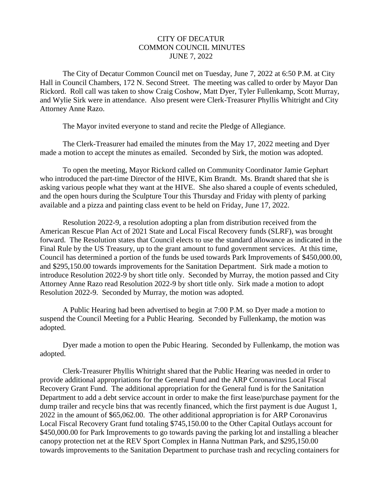## CITY OF DECATUR COMMON COUNCIL MINUTES JUNE 7, 2022

 The City of Decatur Common Council met on Tuesday, June 7, 2022 at 6:50 P.M. at City Hall in Council Chambers, 172 N. Second Street. The meeting was called to order by Mayor Dan Rickord. Roll call was taken to show Craig Coshow, Matt Dyer, Tyler Fullenkamp, Scott Murray, and Wylie Sirk were in attendance. Also present were Clerk-Treasurer Phyllis Whitright and City Attorney Anne Razo.

The Mayor invited everyone to stand and recite the Pledge of Allegiance.

 The Clerk-Treasurer had emailed the minutes from the May 17, 2022 meeting and Dyer made a motion to accept the minutes as emailed. Seconded by Sirk, the motion was adopted.

 To open the meeting, Mayor Rickord called on Community Coordinator Jamie Gephart who introduced the part-time Director of the HIVE, Kim Brandt. Ms. Brandt shared that she is asking various people what they want at the HIVE. She also shared a couple of events scheduled, and the open hours during the Sculpture Tour this Thursday and Friday with plenty of parking available and a pizza and painting class event to be held on Friday, June 17, 2022.

 Resolution 2022-9, a resolution adopting a plan from distribution received from the American Rescue Plan Act of 2021 State and Local Fiscal Recovery funds (SLRF), was brought forward. The Resolution states that Council elects to use the standard allowance as indicated in the Final Rule by the US Treasury, up to the grant amount to fund government services. At this time, Council has determined a portion of the funds be used towards Park Improvements of \$450,000.00, and \$295,150.00 towards improvements for the Sanitation Department. Sirk made a motion to introduce Resolution 2022-9 by short title only. Seconded by Murray, the motion passed and City Attorney Anne Razo read Resolution 2022-9 by short title only. Sirk made a motion to adopt Resolution 2022-9. Seconded by Murray, the motion was adopted.

 A Public Hearing had been advertised to begin at 7:00 P.M. so Dyer made a motion to suspend the Council Meeting for a Public Hearing. Seconded by Fullenkamp, the motion was adopted.

 Dyer made a motion to open the Pubic Hearing. Seconded by Fullenkamp, the motion was adopted.

 Clerk-Treasurer Phyllis Whitright shared that the Public Hearing was needed in order to provide additional appropriations for the General Fund and the ARP Coronavirus Local Fiscal Recovery Grant Fund. The additional appropriation for the General fund is for the Sanitation Department to add a debt service account in order to make the first lease/purchase payment for the dump trailer and recycle bins that was recently financed, which the first payment is due August 1, 2022 in the amount of \$65,062.00. The other additional appropriation is for ARP Coronavirus Local Fiscal Recovery Grant fund totaling \$745,150.00 to the Other Capital Outlays account for \$450,000.00 for Park Improvements to go towards paving the parking lot and installing a bleacher canopy protection net at the REV Sport Complex in Hanna Nuttman Park, and \$295,150.00 towards improvements to the Sanitation Department to purchase trash and recycling containers for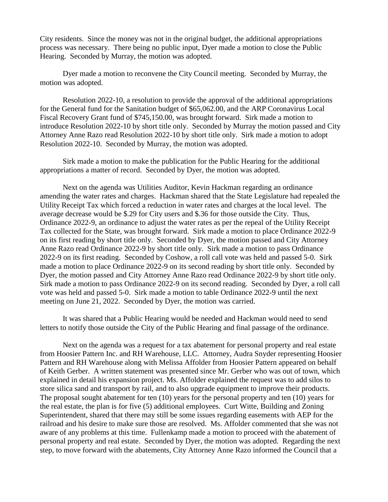City residents. Since the money was not in the original budget, the additional appropriations process was necessary. There being no public input, Dyer made a motion to close the Public Hearing. Seconded by Murray, the motion was adopted.

 Dyer made a motion to reconvene the City Council meeting. Seconded by Murray, the motion was adopted.

 Resolution 2022-10, a resolution to provide the approval of the additional appropriations for the General fund for the Sanitation budget of \$65,062.00, and the ARP Coronavirus Local Fiscal Recovery Grant fund of \$745,150.00, was brought forward. Sirk made a motion to introduce Resolution 2022-10 by short title only. Seconded by Murray the motion passed and City Attorney Anne Razo read Resolution 2022-10 by short title only. Sirk made a motion to adopt Resolution 2022-10. Seconded by Murray, the motion was adopted.

 Sirk made a motion to make the publication for the Public Hearing for the additional appropriations a matter of record. Seconded by Dyer, the motion was adopted.

 Next on the agenda was Utilities Auditor, Kevin Hackman regarding an ordinance amending the water rates and charges. Hackman shared that the State Legislature had repealed the Utility Receipt Tax which forced a reduction in water rates and charges at the local level. The average decrease would be \$.29 for City users and \$.36 for those outside the City. Thus, Ordinance 2022-9, an ordinance to adjust the water rates as per the repeal of the Utility Receipt Tax collected for the State, was brought forward. Sirk made a motion to place Ordinance 2022-9 on its first reading by short title only. Seconded by Dyer, the motion passed and City Attorney Anne Razo read Ordinance 2022-9 by short title only. Sirk made a motion to pass Ordinance 2022-9 on its first reading. Seconded by Coshow, a roll call vote was held and passed 5-0. Sirk made a motion to place Ordinance 2022-9 on its second reading by short title only. Seconded by Dyer, the motion passed and City Attorney Anne Razo read Ordinance 2022-9 by short title only. Sirk made a motion to pass Ordinance 2022-9 on its second reading. Seconded by Dyer, a roll call vote was held and passed 5-0. Sirk made a motion to table Ordinance 2022-9 until the next meeting on June 21, 2022. Seconded by Dyer, the motion was carried.

 It was shared that a Public Hearing would be needed and Hackman would need to send letters to notify those outside the City of the Public Hearing and final passage of the ordinance.

 Next on the agenda was a request for a tax abatement for personal property and real estate from Hoosier Pattern Inc. and RH Warehouse, LLC. Attorney, Audra Snyder representing Hoosier Pattern and RH Warehouse along with Melissa Affolder from Hoosier Pattern appeared on behalf of Keith Gerber. A written statement was presented since Mr. Gerber who was out of town, which explained in detail his expansion project. Ms. Affolder explained the request was to add silos to store silica sand and transport by rail, and to also upgrade equipment to improve their products. The proposal sought abatement for ten (10) years for the personal property and ten (10) years for the real estate, the plan is for five (5) additional employees. Curt Witte, Building and Zoning Superintendent, shared that there may still be some issues regarding easements with AEP for the railroad and his desire to make sure those are resolved. Ms. Affolder commented that she was not aware of any problems at this time. Fullenkamp made a motion to proceed with the abatement of personal property and real estate. Seconded by Dyer, the motion was adopted. Regarding the next step, to move forward with the abatements, City Attorney Anne Razo informed the Council that a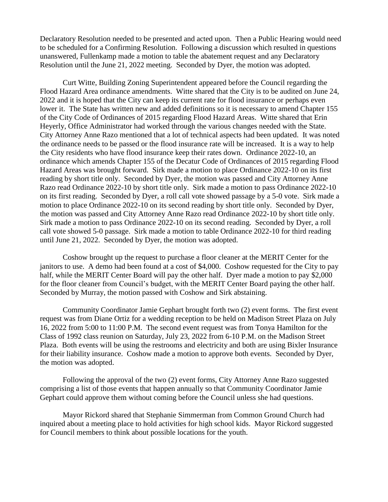Declaratory Resolution needed to be presented and acted upon. Then a Public Hearing would need to be scheduled for a Confirming Resolution. Following a discussion which resulted in questions unanswered, Fullenkamp made a motion to table the abatement request and any Declaratory Resolution until the June 21, 2022 meeting. Seconded by Dyer, the motion was adopted.

 Curt Witte, Building Zoning Superintendent appeared before the Council regarding the Flood Hazard Area ordinance amendments. Witte shared that the City is to be audited on June 24, 2022 and it is hoped that the City can keep its current rate for flood insurance or perhaps even lower it. The State has written new and added definitions so it is necessary to amend Chapter 155 of the City Code of Ordinances of 2015 regarding Flood Hazard Areas. Witte shared that Erin Heyerly, Office Administrator had worked through the various changes needed with the State. City Attorney Anne Razo mentioned that a lot of technical aspects had been updated. It was noted the ordinance needs to be passed or the flood insurance rate will be increased. It is a way to help the City residents who have flood insurance keep their rates down. Ordinance 2022-10, an ordinance which amends Chapter 155 of the Decatur Code of Ordinances of 2015 regarding Flood Hazard Areas was brought forward. Sirk made a motion to place Ordinance 2022-10 on its first reading by short title only. Seconded by Dyer, the motion was passed and City Attorney Anne Razo read Ordinance 2022-10 by short title only. Sirk made a motion to pass Ordinance 2022-10 on its first reading. Seconded by Dyer, a roll call vote showed passage by a 5-0 vote. Sirk made a motion to place Ordinance 2022-10 on its second reading by short title only. Seconded by Dyer, the motion was passed and City Attorney Anne Razo read Ordinance 2022-10 by short title only. Sirk made a motion to pass Ordinance 2022-10 on its second reading. Seconded by Dyer, a roll call vote showed 5-0 passage. Sirk made a motion to table Ordinance 2022-10 for third reading until June 21, 2022. Seconded by Dyer, the motion was adopted.

 Coshow brought up the request to purchase a floor cleaner at the MERIT Center for the janitors to use. A demo had been found at a cost of \$4,000. Coshow requested for the City to pay half, while the MERIT Center Board will pay the other half. Dyer made a motion to pay \$2,000 for the floor cleaner from Council's budget, with the MERIT Center Board paying the other half. Seconded by Murray, the motion passed with Coshow and Sirk abstaining.

 Community Coordinator Jamie Gephart brought forth two (2) event forms. The first event request was from Diane Ortiz for a wedding reception to be held on Madison Street Plaza on July 16, 2022 from 5:00 to 11:00 P.M. The second event request was from Tonya Hamilton for the Class of 1992 class reunion on Saturday, July 23, 2022 from 6-10 P.M. on the Madison Street Plaza. Both events will be using the restrooms and electricity and both are using Bixler Insurance for their liability insurance. Coshow made a motion to approve both events. Seconded by Dyer, the motion was adopted.

 Following the approval of the two (2) event forms, City Attorney Anne Razo suggested comprising a list of those events that happen annually so that Community Coordinator Jamie Gephart could approve them without coming before the Council unless she had questions.

 Mayor Rickord shared that Stephanie Simmerman from Common Ground Church had inquired about a meeting place to hold activities for high school kids. Mayor Rickord suggested for Council members to think about possible locations for the youth.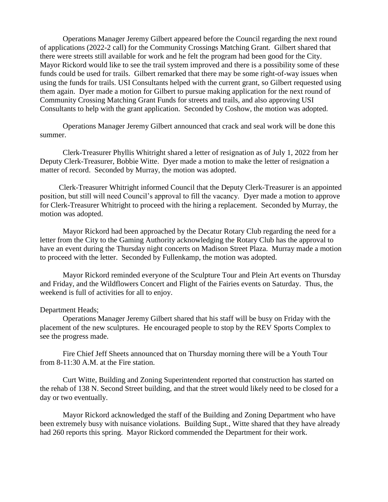Operations Manager Jeremy Gilbert appeared before the Council regarding the next round of applications (2022-2 call) for the Community Crossings Matching Grant. Gilbert shared that there were streets still available for work and he felt the program had been good for the City. Mayor Rickord would like to see the trail system improved and there is a possibility some of these funds could be used for trails. Gilbert remarked that there may be some right-of-way issues when using the funds for trails. USI Consultants helped with the current grant, so Gilbert requested using them again. Dyer made a motion for Gilbert to pursue making application for the next round of Community Crossing Matching Grant Funds for streets and trails, and also approving USI Consultants to help with the grant application. Seconded by Coshow, the motion was adopted.

 Operations Manager Jeremy Gilbert announced that crack and seal work will be done this summer.

 Clerk-Treasurer Phyllis Whitright shared a letter of resignation as of July 1, 2022 from her Deputy Clerk-Treasurer, Bobbie Witte. Dyer made a motion to make the letter of resignation a matter of record. Seconded by Murray, the motion was adopted.

 Clerk-Treasurer Whitright informed Council that the Deputy Clerk-Treasurer is an appointed position, but still will need Council's approval to fill the vacancy. Dyer made a motion to approve for Clerk-Treasurer Whitright to proceed with the hiring a replacement. Seconded by Murray, the motion was adopted.

 Mayor Rickord had been approached by the Decatur Rotary Club regarding the need for a letter from the City to the Gaming Authority acknowledging the Rotary Club has the approval to have an event during the Thursday night concerts on Madison Street Plaza. Murray made a motion to proceed with the letter. Seconded by Fullenkamp, the motion was adopted.

 Mayor Rickord reminded everyone of the Sculpture Tour and Plein Art events on Thursday and Friday, and the Wildflowers Concert and Flight of the Fairies events on Saturday. Thus, the weekend is full of activities for all to enjoy.

## Department Heads;

 Operations Manager Jeremy Gilbert shared that his staff will be busy on Friday with the placement of the new sculptures. He encouraged people to stop by the REV Sports Complex to see the progress made.

 Fire Chief Jeff Sheets announced that on Thursday morning there will be a Youth Tour from 8-11:30 A.M. at the Fire station.

 Curt Witte, Building and Zoning Superintendent reported that construction has started on the rehab of 138 N. Second Street building, and that the street would likely need to be closed for a day or two eventually.

 Mayor Rickord acknowledged the staff of the Building and Zoning Department who have been extremely busy with nuisance violations. Building Supt., Witte shared that they have already had 260 reports this spring. Mayor Rickord commended the Department for their work.